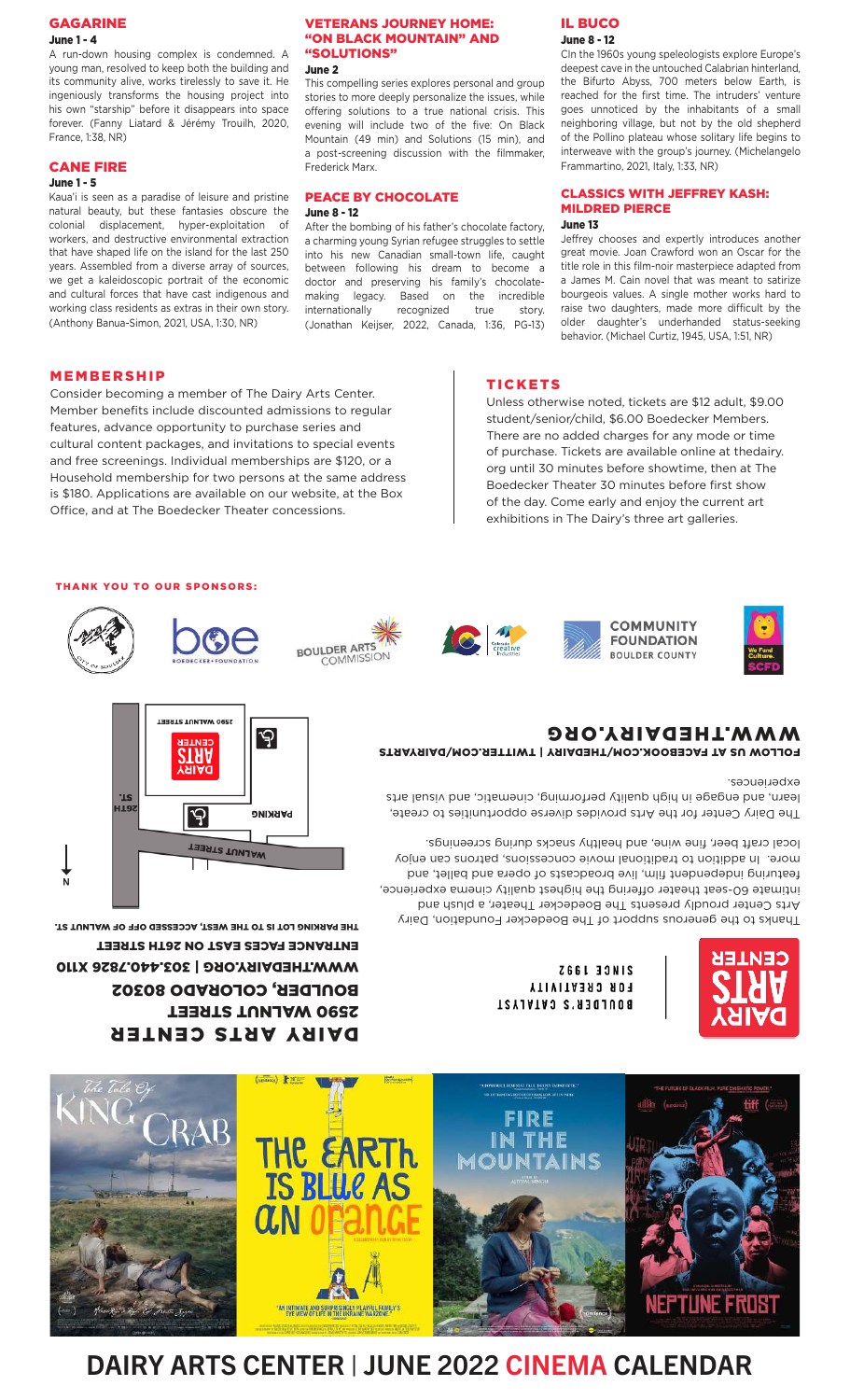#### **GAGARINE** June 1 - 4

A run-down housing complex is condemned. A young man, resolved to keep both the building and its community alive, works tirelessly to save it. He ingeniously transforms the housing project into his own "starship" before it disappears into space forever. (Fanny Liatard & Jérémy Trouilh, 2020, France, 1:38, NR)

### CANE FIRE

### June 1 - 5

Kaua'i is seen as a paradise of leisure and pristine natural beauty, but these fantasies obscure the colonial displacement, hyper-exploitation of workers, and destructive environmental extraction that have shaped life on the island for the last 250 years. Assembled from a diverse array of sources, we get a kaleidoscopic portrait of the economic and cultural forces that have cast indigenous and working class residents as extras in their own story. (Anthony Banua-Simon, 2021, USA, 1:30, NR)

#### VETERANS JOURNEY HOME: "ON BLACK MOUNTAIN" AND "SOLUTIONS"

June 2

This compelling series explores personal and group stories to more deeply personalize the issues, while offering solutions to a true national crisis. This evening will include two of the five: On Black Mountain (49 min) and Solutions (15 min), and a post-screening discussion with the filmmaker, Frederick Marx.

#### PEACE BY CHOCOLATE June 8 - 12

After the bombing of his father's chocolate factory, a charming young Syrian refugee struggles to settle into his new Canadian small-town life, caught between following his dream to become a doctor and preserving his family's chocolatemaking legacy. Based on the incredible internationally recognized true story. (Jonathan Keijser, 2022, Canada, 1:36, PG-13)

#### IL BUCO June 8 - 12

CIn the 1960s young speleologists explore Europe's deepest cave in the untouched Calabrian hinterland, the Bifurto Abyss, 700 meters below Earth, is reached for the first time. The intruders' venture goes unnoticed by the inhabitants of a small neighboring village, but not by the old shepherd of the Pollino plateau whose solitary life begins to interweave with the group's journey. (Michelangelo Frammartino, 2021, Italy, 1:33, NR)

#### CLASSICS WITH JEFFREY KASH: MILDRED PIERCE June 13

#### Jeffrey chooses and expertly introduces another great movie. Joan Crawford won an Oscar for the title role in this film-noir masterpiece adapted from a James M. Cain novel that was meant to satirize bourgeois values. A single mother works hard to raise two daughters, made more difficult by the older daughter's underhanded status-seeking behavior. (Michael Curtiz, 1945, USA, 1:51, NR)

#### MEMBERSHIP

Consider becoming a member of The Dairy Arts Center. Member benefits include discounted admissions to regular features, advance opportunity to purchase series and cultural content packages, and invitations to special events and free screenings. Individual memberships are \$120, or a Household membership for two persons at the same address is \$180. Applications are available on our website, at the Box Office, and at The Boedecker Theater concessions.

### THANK YOU TO OUR SPONSORS:



TICKETS

student/senior/child, \$6.00 Boedecker Members. There are no added charges for any mode or time of purchase. Tickets are available online at thedairy. org until 30 minutes before showtime, then at The Boedecker Theater 30 minutes before first show of the day. Come early and enjoy the current art exhibitions in The Dairy's three art galleries.

Unless otherwise noted, tickets are \$12 adult, \$9.00



















FOLLOW US AT FACEBOOK.COM/THEDAIRY | TWITTER.COM/DAIRYARTS WWW.THEDAIRY.ORG

#### experiences.

The Dairy Center for the Arts provides diverse opportunities to create, learn, and engage in high quality performing, cinematic, and visual arts

Thanks to the generous support of The Boedecker Foundation, Dairy Arts Center proudly presents The Boedecker Theater, a plush and intimate 60-seat theater offering the highest quality cinema experience, featuring independent film, live broadcasts of opera and ballet, and more. In addition to traditional movie concessions, patrons can enjoy local craft beer, fine wine, and healthy snacks during screenings.



**Z66L 33NIS FOR CREATIVITY** BOULDER'S CATALYST



ENTRANCE FACES EAST ON 26TH STREET THE PARKING LOT IS TO THE WEST, ACCESSED OFF OF WALNUT ST.

DAIRY ARTS CENTER 2590 WALNUT STREET BONFDER<sup>,</sup> COFOKVDO 80303 WWW.THEDAIRY.ORG | 303.440.7826 X110



# DAIRY ARTS CENTER | JUNE 2022 CINEMA CALENDAR